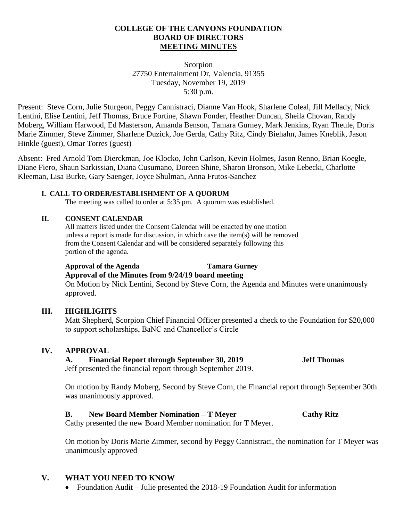#### **COLLEGE OF THE CANYONS FOUNDATION BOARD OF DIRECTORS MEETING MINUTES**

#### Scorpion 27750 Entertainment Dr, Valencia, 91355 Tuesday, November 19, 2019 5:30 p.m.

Present: Steve Corn, Julie Sturgeon, Peggy Cannistraci, Dianne Van Hook, Sharlene Coleal, Jill Mellady, Nick Lentini, Elise Lentini, Jeff Thomas, Bruce Fortine, Shawn Fonder, Heather Duncan, Sheila Chovan, Randy Moberg, William Harwood, Ed Masterson, Amanda Benson, Tamara Gurney, Mark Jenkins, Ryan Theule, Doris Marie Zimmer, Steve Zimmer, Sharlene Duzick, Joe Gerda, Cathy Ritz, Cindy Biehahn, James Kneblik, Jason Hinkle (guest), Omar Torres (guest)

Absent: Fred Arnold Tom Dierckman, Joe Klocko, John Carlson, Kevin Holmes, Jason Renno, Brian Koegle, Diane Fiero, Shaun Sarkissian, Diana Cusumano, Doreen Shine, Sharon Bronson, Mike Lebecki, Charlotte Kleeman, Lisa Burke, Gary Saenger, Joyce Shulman, Anna Frutos-Sanchez

### **I. CALL TO ORDER/ESTABLISHMENT OF A QUORUM**

The meeting was called to order at 5:35 pm. A quorum was established.

#### **II. CONSENT CALENDAR**

All matters listed under the Consent Calendar will be enacted by one motion unless a report is made for discussion, in which case the item(s) will be removed from the Consent Calendar and will be considered separately following this portion of the agenda.

# **Approval of the Agenda Tamara Gurney**

**Approval of the Minutes from 9/24/19 board meeting** On Motion by Nick Lentini, Second by Steve Corn, the Agenda and Minutes were unanimously approved.

# **III. HIGHLIGHTS**

Matt Shepherd, Scorpion Chief Financial Officer presented a check to the Foundation for \$20,000 to support scholarships, BaNC and Chancellor's Circle

#### **IV. APPROVAL**

# **A. Financial Report through September 30, 2019 Jeff Thomas**

Jeff presented the financial report through September 2019.

On motion by Randy Moberg, Second by Steve Corn, the Financial report through September 30th was unanimously approved.

# **B. New Board Member Nomination – T Meyer Cathy Ritz**

Cathy presented the new Board Member nomination for T Meyer.

On motion by Doris Marie Zimmer, second by Peggy Cannistraci, the nomination for T Meyer was unanimously approved

# **V. WHAT YOU NEED TO KNOW**

• Foundation Audit – Julie presented the 2018-19 Foundation Audit for information